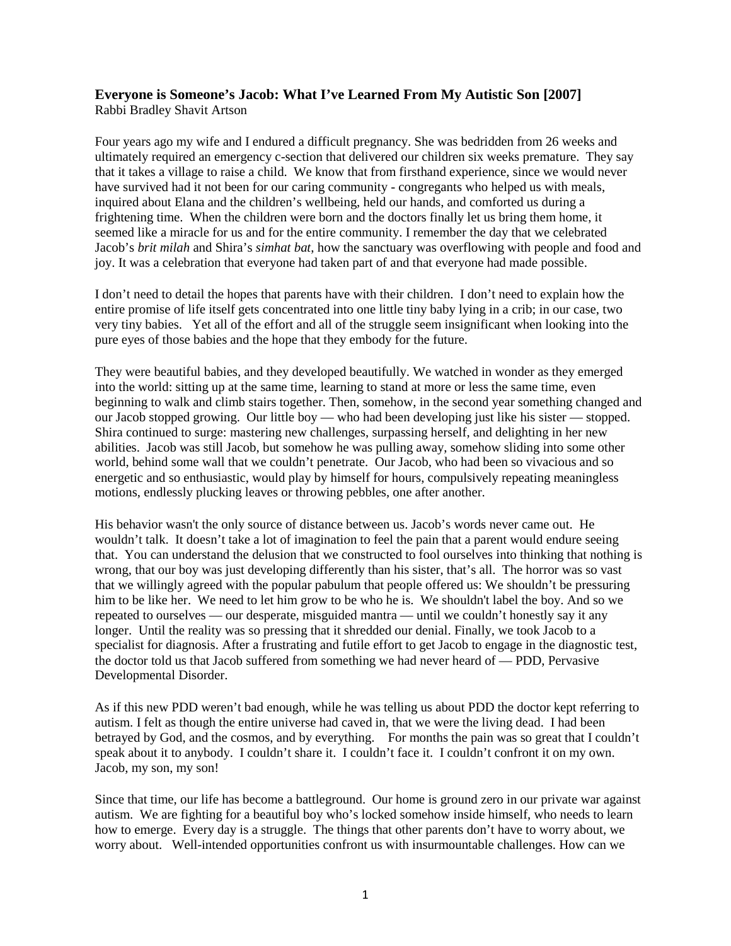## **Everyone is Someone's Jacob: What I've Learned From My Autistic Son [2007]** Rabbi Bradley Shavit Artson

Four years ago my wife and I endured a difficult pregnancy. She was bedridden from 26 weeks and ultimately required an emergency c-section that delivered our children six weeks premature. They say that it takes a village to raise a child. We know that from firsthand experience, since we would never have survived had it not been for our caring community - congregants who helped us with meals, inquired about Elana and the children's wellbeing, held our hands, and comforted us during a frightening time. When the children were born and the doctors finally let us bring them home, it seemed like a miracle for us and for the entire community. I remember the day that we celebrated Jacob's *brit milah* and Shira's *simhat bat*, how the sanctuary was overflowing with people and food and joy. It was a celebration that everyone had taken part of and that everyone had made possible.

I don't need to detail the hopes that parents have with their children. I don't need to explain how the entire promise of life itself gets concentrated into one little tiny baby lying in a crib; in our case, two very tiny babies. Yet all of the effort and all of the struggle seem insignificant when looking into the pure eyes of those babies and the hope that they embody for the future.

They were beautiful babies, and they developed beautifully. We watched in wonder as they emerged into the world: sitting up at the same time, learning to stand at more or less the same time, even beginning to walk and climb stairs together. Then, somehow, in the second year something changed and our Jacob stopped growing. Our little boy — who had been developing just like his sister — stopped. Shira continued to surge: mastering new challenges, surpassing herself, and delighting in her new abilities. Jacob was still Jacob, but somehow he was pulling away, somehow sliding into some other world, behind some wall that we couldn't penetrate. Our Jacob, who had been so vivacious and so energetic and so enthusiastic, would play by himself for hours, compulsively repeating meaningless motions, endlessly plucking leaves or throwing pebbles, one after another.

His behavior wasn't the only source of distance between us. Jacob's words never came out. He wouldn't talk. It doesn't take a lot of imagination to feel the pain that a parent would endure seeing that. You can understand the delusion that we constructed to fool ourselves into thinking that nothing is wrong, that our boy was just developing differently than his sister, that's all. The horror was so vast that we willingly agreed with the popular pabulum that people offered us: We shouldn't be pressuring him to be like her. We need to let him grow to be who he is. We shouldn't label the boy. And so we repeated to ourselves — our desperate, misguided mantra — until we couldn't honestly say it any longer. Until the reality was so pressing that it shredded our denial. Finally, we took Jacob to a specialist for diagnosis. After a frustrating and futile effort to get Jacob to engage in the diagnostic test, the doctor told us that Jacob suffered from something we had never heard of — PDD, Pervasive Developmental Disorder.

As if this new PDD weren't bad enough, while he was telling us about PDD the doctor kept referring to autism. I felt as though the entire universe had caved in, that we were the living dead. I had been betrayed by God, and the cosmos, and by everything. For months the pain was so great that I couldn't speak about it to anybody. I couldn't share it. I couldn't face it. I couldn't confront it on my own. Jacob, my son, my son!

Since that time, our life has become a battleground. Our home is ground zero in our private war against autism. We are fighting for a beautiful boy who's locked somehow inside himself, who needs to learn how to emerge. Every day is a struggle. The things that other parents don't have to worry about, we worry about. Well-intended opportunities confront us with insurmountable challenges. How can we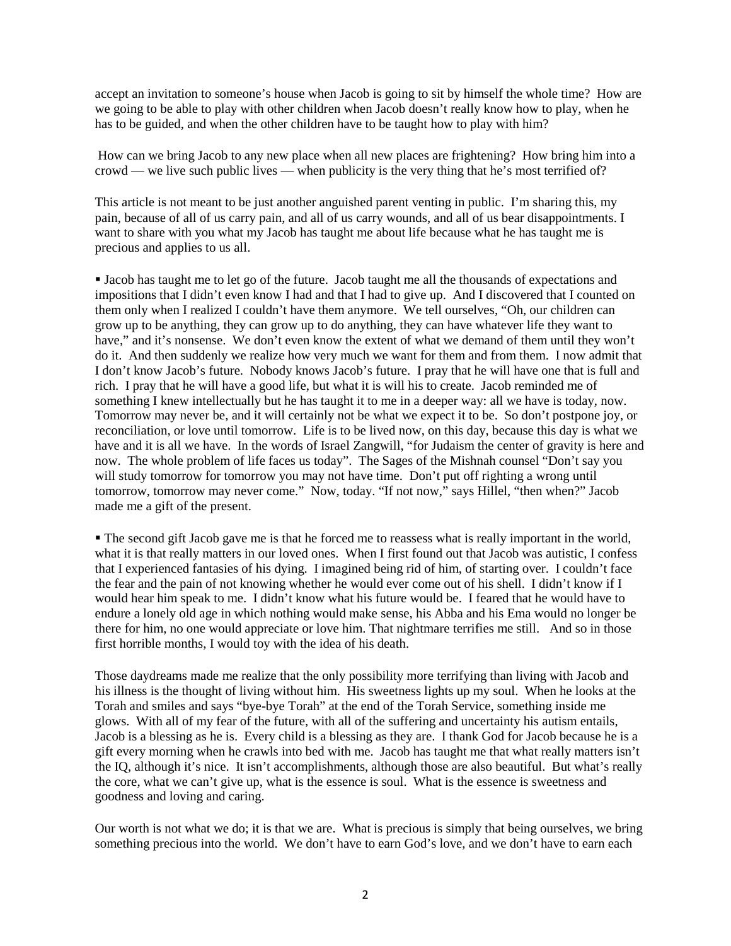accept an invitation to someone's house when Jacob is going to sit by himself the whole time? How are we going to be able to play with other children when Jacob doesn't really know how to play, when he has to be guided, and when the other children have to be taught how to play with him?

How can we bring Jacob to any new place when all new places are frightening? How bring him into a crowd — we live such public lives — when publicity is the very thing that he's most terrified of?

This article is not meant to be just another anguished parent venting in public. I'm sharing this, my pain, because of all of us carry pain, and all of us carry wounds, and all of us bear disappointments. I want to share with you what my Jacob has taught me about life because what he has taught me is precious and applies to us all.

 Jacob has taught me to let go of the future. Jacob taught me all the thousands of expectations and impositions that I didn't even know I had and that I had to give up. And I discovered that I counted on them only when I realized I couldn't have them anymore. We tell ourselves, "Oh, our children can grow up to be anything, they can grow up to do anything, they can have whatever life they want to have," and it's nonsense. We don't even know the extent of what we demand of them until they won't do it. And then suddenly we realize how very much we want for them and from them. I now admit that I don't know Jacob's future. Nobody knows Jacob's future. I pray that he will have one that is full and rich. I pray that he will have a good life, but what it is will his to create. Jacob reminded me of something I knew intellectually but he has taught it to me in a deeper way: all we have is today, now. Tomorrow may never be, and it will certainly not be what we expect it to be. So don't postpone joy, or reconciliation, or love until tomorrow. Life is to be lived now, on this day, because this day is what we have and it is all we have. In the words of Israel Zangwill, "for Judaism the center of gravity is here and now. The whole problem of life faces us today". The Sages of the Mishnah counsel "Don't say you will study tomorrow for tomorrow you may not have time. Don't put off righting a wrong until tomorrow, tomorrow may never come." Now, today. "If not now," says Hillel, "then when?" Jacob made me a gift of the present.

 The second gift Jacob gave me is that he forced me to reassess what is really important in the world, what it is that really matters in our loved ones. When I first found out that Jacob was autistic, I confess that I experienced fantasies of his dying. I imagined being rid of him, of starting over. I couldn't face the fear and the pain of not knowing whether he would ever come out of his shell. I didn't know if I would hear him speak to me. I didn't know what his future would be. I feared that he would have to endure a lonely old age in which nothing would make sense, his Abba and his Ema would no longer be there for him, no one would appreciate or love him. That nightmare terrifies me still. And so in those first horrible months, I would toy with the idea of his death.

Those daydreams made me realize that the only possibility more terrifying than living with Jacob and his illness is the thought of living without him. His sweetness lights up my soul. When he looks at the Torah and smiles and says "bye-bye Torah" at the end of the Torah Service, something inside me glows. With all of my fear of the future, with all of the suffering and uncertainty his autism entails, Jacob is a blessing as he is. Every child is a blessing as they are. I thank God for Jacob because he is a gift every morning when he crawls into bed with me. Jacob has taught me that what really matters isn't the IQ, although it's nice. It isn't accomplishments, although those are also beautiful. But what's really the core, what we can't give up, what is the essence is soul. What is the essence is sweetness and goodness and loving and caring.

Our worth is not what we do; it is that we are. What is precious is simply that being ourselves, we bring something precious into the world. We don't have to earn God's love, and we don't have to earn each